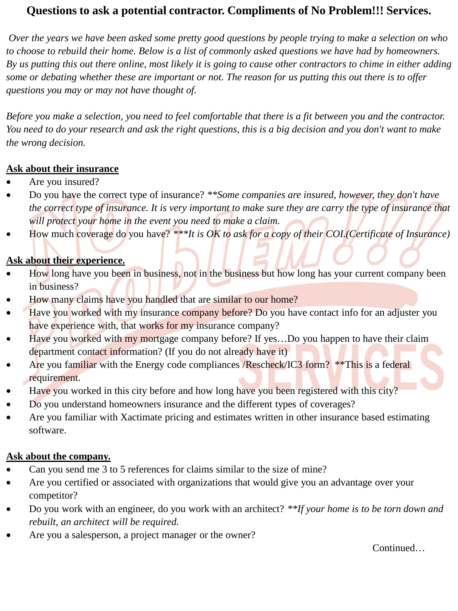## **Questions to ask a potential contractor. Compliments of No Problem!!! Services.**

*Over the years we have been asked some pretty good questions by people trying to make a selection on who to choose to rebuild their home. Below is a list of commonly asked questions we have had by homeowners. By us putting this out there online, most likely it is going to cause other contractors to chime in either adding some or debating whether these are important or not. The reason for us putting this out there is to offer questions you may or may not have thought of.*

*Before you make a selection, you need to feel comfortable that there is a fit between you and the contractor. You need to do your research and ask the right questions, this is a big decision and you don't want to make the wrong decision.*

#### **Ask about their insurance**

- Are you insured?
- Do you have the correct type of insurance? *\*\*Some companies are insured, however, they don't have the correct type of insurance. It is very important to make sure they are carry the type of insurance that will protect your home in the event you need to make a claim.*
- How much coverage do you have? *\*\*\*It is OK to ask for a copy of their COI.(Certificate of Insurance)*

### **Ask about their experience.**

- How long have you been in business, not in the business but how long has your current company been in business?
- How many claims have you handled that are similar to our home?
- Have you worked with my insurance company before? Do you have contact info for an adjuster you have experience with, that works for my insurance company?
- Have you worked with my mortgage company before? If yes...Do you happen to have their claim department contact information? (If you do not already have it)
- Are you familiar with the Energy code compliances /Rescheck/IC3 form? \*\*This is a federal requirement.
- Have you worked in this city before and how long have you been registered with this city?
- Do you understand homeowners insurance and the different types of coverages?
- Are you familiar with Xactimate pricing and estimates written in other insurance based estimating software.

#### **Ask about the company.**

- Can you send me 3 to 5 references for claims similar to the size of mine?
- Are you certified or associated with organizations that would give you an advantage over your competitor?
- Do you work with an engineer, do you work with an architect? *\*\*If your home is to be torn down and rebuilt, an architect will be required.*
- Are you a salesperson, a project manager or the owner?

Continued…